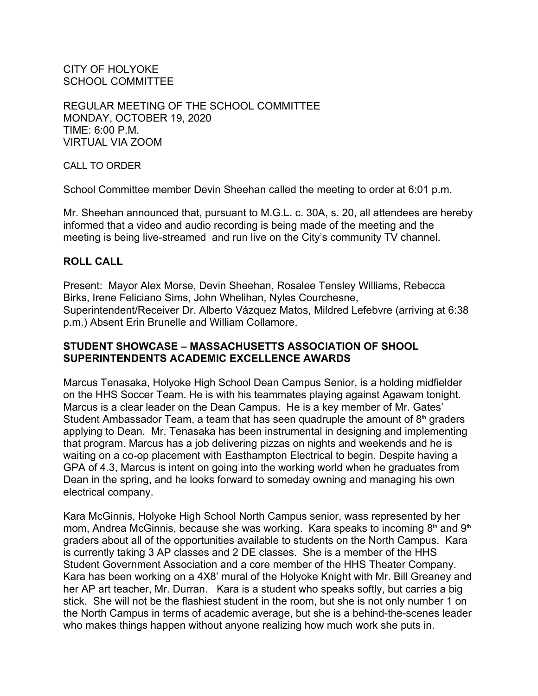CITY OF HOLYOKE SCHOOL COMMITTEE

REGULAR MEETING OF THE SCHOOL COMMITTEE MONDAY, OCTOBER 19, 2020 TIME: 6:00 P.M. VIRTUAL VIA ZOOM

CALL TO ORDER

School Committee member Devin Sheehan called the meeting to order at 6:01 p.m.

Mr. Sheehan announced that, pursuant to M.G.L. c. 30A, s. 20, all attendees are hereby informed that a video and audio recording is being made of the meeting and the meeting is being live-streamed and run live on the City's community TV channel.

#### **ROLL CALL**

Present: Mayor Alex Morse, Devin Sheehan, Rosalee Tensley Williams, Rebecca Birks, Irene Feliciano Sims, John Whelihan, Nyles Courchesne, Superintendent/Receiver Dr. Alberto Vázquez Matos, Mildred Lefebvre (arriving at 6:38 p.m.) Absent Erin Brunelle and William Collamore.

### **STUDENT SHOWCASE – MASSACHUSETTS ASSOCIATION OF SHOOL SUPERINTENDENTS ACADEMIC EXCELLENCE AWARDS**

Marcus Tenasaka, Holyoke High School Dean Campus Senior, is a holding midfielder on the HHS Soccer Team. He is with his teammates playing against Agawam tonight. Marcus is a clear leader on the Dean Campus. He is a key member of Mr. Gates' Student Ambassador Team, a team that has seen quadruple the amount of  $8<sup>th</sup>$  graders applying to Dean. Mr. Tenasaka has been instrumental in designing and implementing that program. Marcus has a job delivering pizzas on nights and weekends and he is waiting on a co-op placement with Easthampton Electrical to begin. Despite having a GPA of 4.3, Marcus is intent on going into the working world when he graduates from Dean in the spring, and he looks forward to someday owning and managing his own electrical company.

Kara McGinnis, Holyoke High School North Campus senior, wass represented by her mom, Andrea McGinnis, because she was working. Kara speaks to incoming  $8<sup>th</sup>$  and  $9<sup>th</sup>$ graders about all of the opportunities available to students on the North Campus. Kara is currently taking 3 AP classes and 2 DE classes. She is a member of the HHS Student Government Association and a core member of the HHS Theater Company. Kara has been working on a 4X8' mural of the Holyoke Knight with Mr. Bill Greaney and her AP art teacher, Mr. Durran. Kara is a student who speaks softly, but carries a big stick. She will not be the flashiest student in the room, but she is not only number 1 on the North Campus in terms of academic average, but she is a behind-the-scenes leader who makes things happen without anyone realizing how much work she puts in.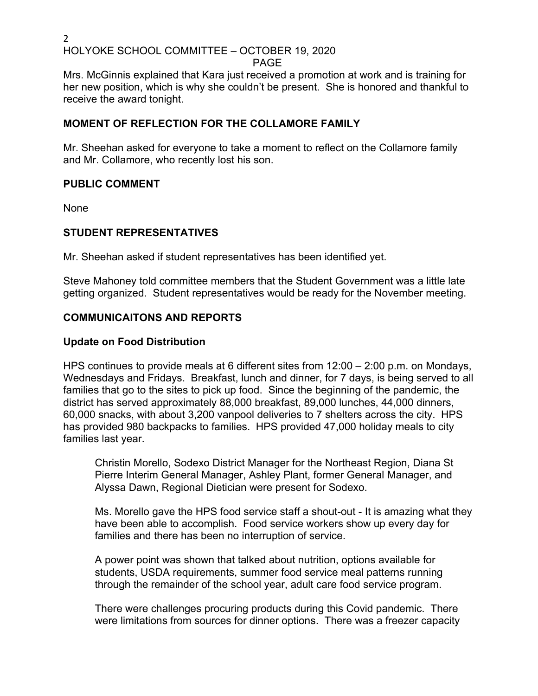### PAGE

Mrs. McGinnis explained that Kara just received a promotion at work and is training for her new position, which is why she couldn't be present. She is honored and thankful to receive the award tonight.

# **MOMENT OF REFLECTION FOR THE COLLAMORE FAMILY**

Mr. Sheehan asked for everyone to take a moment to reflect on the Collamore family and Mr. Collamore, who recently lost his son.

# **PUBLIC COMMENT**

None

# **STUDENT REPRESENTATIVES**

Mr. Sheehan asked if student representatives has been identified yet.

Steve Mahoney told committee members that the Student Government was a little late getting organized. Student representatives would be ready for the November meeting.

# **COMMUNICAITONS AND REPORTS**

# **Update on Food Distribution**

HPS continues to provide meals at 6 different sites from 12:00 – 2:00 p.m. on Mondays, Wednesdays and Fridays. Breakfast, lunch and dinner, for 7 days, is being served to all families that go to the sites to pick up food. Since the beginning of the pandemic, the district has served approximately 88,000 breakfast, 89,000 lunches, 44,000 dinners, 60,000 snacks, with about 3,200 vanpool deliveries to 7 shelters across the city. HPS has provided 980 backpacks to families. HPS provided 47,000 holiday meals to city families last year.

Christin Morello, Sodexo District Manager for the Northeast Region, Diana St Pierre Interim General Manager, Ashley Plant, former General Manager, and Alyssa Dawn, Regional Dietician were present for Sodexo.

Ms. Morello gave the HPS food service staff a shout-out - It is amazing what they have been able to accomplish. Food service workers show up every day for families and there has been no interruption of service.

A power point was shown that talked about nutrition, options available for students, USDA requirements, summer food service meal patterns running through the remainder of the school year, adult care food service program.

There were challenges procuring products during this Covid pandemic. There were limitations from sources for dinner options. There was a freezer capacity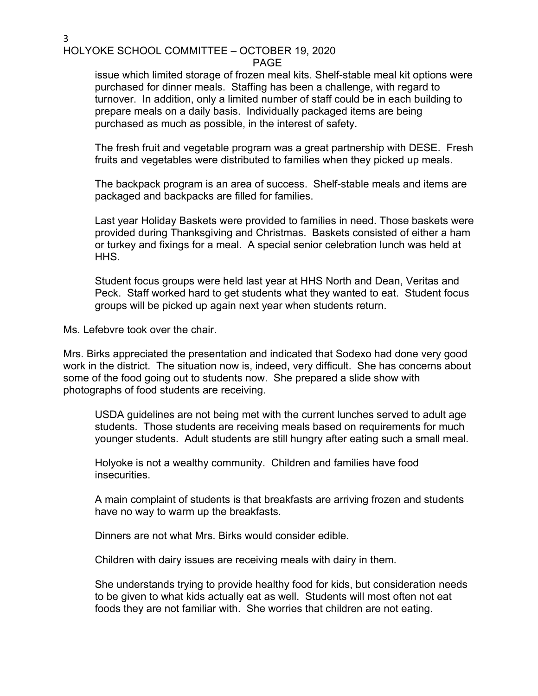#### PAGE

issue which limited storage of frozen meal kits. Shelf-stable meal kit options were purchased for dinner meals. Staffing has been a challenge, with regard to turnover. In addition, only a limited number of staff could be in each building to prepare meals on a daily basis. Individually packaged items are being purchased as much as possible, in the interest of safety.

The fresh fruit and vegetable program was a great partnership with DESE. Fresh fruits and vegetables were distributed to families when they picked up meals.

The backpack program is an area of success. Shelf-stable meals and items are packaged and backpacks are filled for families.

Last year Holiday Baskets were provided to families in need. Those baskets were provided during Thanksgiving and Christmas. Baskets consisted of either a ham or turkey and fixings for a meal. A special senior celebration lunch was held at HHS.

Student focus groups were held last year at HHS North and Dean, Veritas and Peck. Staff worked hard to get students what they wanted to eat. Student focus groups will be picked up again next year when students return.

Ms. Lefebvre took over the chair.

Mrs. Birks appreciated the presentation and indicated that Sodexo had done very good work in the district. The situation now is, indeed, very difficult. She has concerns about some of the food going out to students now. She prepared a slide show with photographs of food students are receiving.

USDA guidelines are not being met with the current lunches served to adult age students. Those students are receiving meals based on requirements for much younger students. Adult students are still hungry after eating such a small meal.

Holyoke is not a wealthy community. Children and families have food insecurities.

A main complaint of students is that breakfasts are arriving frozen and students have no way to warm up the breakfasts.

Dinners are not what Mrs. Birks would consider edible.

Children with dairy issues are receiving meals with dairy in them.

She understands trying to provide healthy food for kids, but consideration needs to be given to what kids actually eat as well. Students will most often not eat foods they are not familiar with. She worries that children are not eating.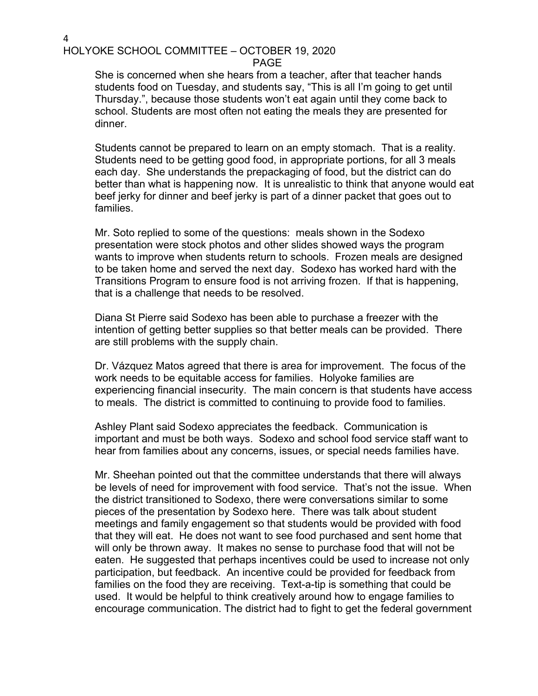PAGE

She is concerned when she hears from a teacher, after that teacher hands students food on Tuesday, and students say, "This is all I'm going to get until Thursday.", because those students won't eat again until they come back to school. Students are most often not eating the meals they are presented for dinner.

Students cannot be prepared to learn on an empty stomach. That is a reality. Students need to be getting good food, in appropriate portions, for all 3 meals each day. She understands the prepackaging of food, but the district can do better than what is happening now. It is unrealistic to think that anyone would eat beef jerky for dinner and beef jerky is part of a dinner packet that goes out to families.

Mr. Soto replied to some of the questions: meals shown in the Sodexo presentation were stock photos and other slides showed ways the program wants to improve when students return to schools. Frozen meals are designed to be taken home and served the next day. Sodexo has worked hard with the Transitions Program to ensure food is not arriving frozen. If that is happening, that is a challenge that needs to be resolved.

Diana St Pierre said Sodexo has been able to purchase a freezer with the intention of getting better supplies so that better meals can be provided. There are still problems with the supply chain.

Dr. Vázquez Matos agreed that there is area for improvement. The focus of the work needs to be equitable access for families. Holyoke families are experiencing financial insecurity. The main concern is that students have access to meals. The district is committed to continuing to provide food to families.

Ashley Plant said Sodexo appreciates the feedback. Communication is important and must be both ways. Sodexo and school food service staff want to hear from families about any concerns, issues, or special needs families have.

Mr. Sheehan pointed out that the committee understands that there will always be levels of need for improvement with food service. That's not the issue. When the district transitioned to Sodexo, there were conversations similar to some pieces of the presentation by Sodexo here. There was talk about student meetings and family engagement so that students would be provided with food that they will eat. He does not want to see food purchased and sent home that will only be thrown away. It makes no sense to purchase food that will not be eaten. He suggested that perhaps incentives could be used to increase not only participation, but feedback. An incentive could be provided for feedback from families on the food they are receiving. Text-a-tip is something that could be used. It would be helpful to think creatively around how to engage families to encourage communication. The district had to fight to get the federal government

4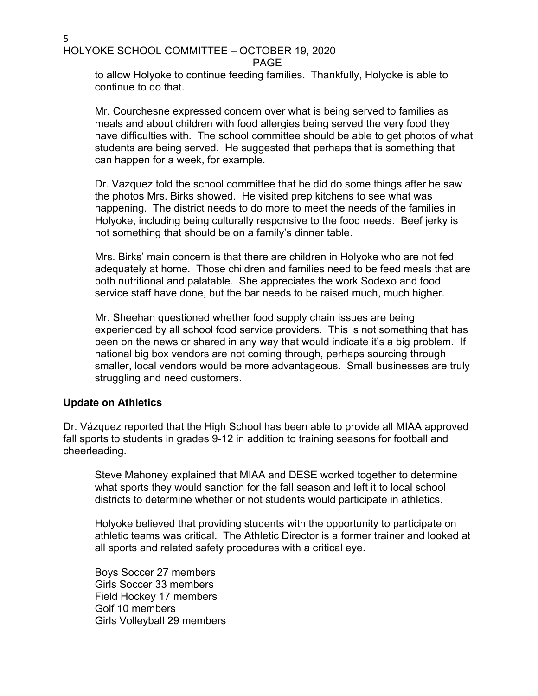$5<sub>2</sub>$ HOLYOKE SCHOOL COMMITTEE – OCTOBER 19, 2020

PAGE

to allow Holyoke to continue feeding families. Thankfully, Holyoke is able to continue to do that.

Mr. Courchesne expressed concern over what is being served to families as meals and about children with food allergies being served the very food they have difficulties with. The school committee should be able to get photos of what students are being served. He suggested that perhaps that is something that can happen for a week, for example.

Dr. Vázquez told the school committee that he did do some things after he saw the photos Mrs. Birks showed. He visited prep kitchens to see what was happening. The district needs to do more to meet the needs of the families in Holyoke, including being culturally responsive to the food needs. Beef jerky is not something that should be on a family's dinner table.

Mrs. Birks' main concern is that there are children in Holyoke who are not fed adequately at home. Those children and families need to be feed meals that are both nutritional and palatable. She appreciates the work Sodexo and food service staff have done, but the bar needs to be raised much, much higher.

Mr. Sheehan questioned whether food supply chain issues are being experienced by all school food service providers. This is not something that has been on the news or shared in any way that would indicate it's a big problem. If national big box vendors are not coming through, perhaps sourcing through smaller, local vendors would be more advantageous. Small businesses are truly struggling and need customers.

# **Update on Athletics**

Dr. Vázquez reported that the High School has been able to provide all MIAA approved fall sports to students in grades 9-12 in addition to training seasons for football and cheerleading.

Steve Mahoney explained that MIAA and DESE worked together to determine what sports they would sanction for the fall season and left it to local school districts to determine whether or not students would participate in athletics.

Holyoke believed that providing students with the opportunity to participate on athletic teams was critical. The Athletic Director is a former trainer and looked at all sports and related safety procedures with a critical eye.

Boys Soccer 27 members Girls Soccer 33 members Field Hockey 17 members Golf 10 members Girls Volleyball 29 members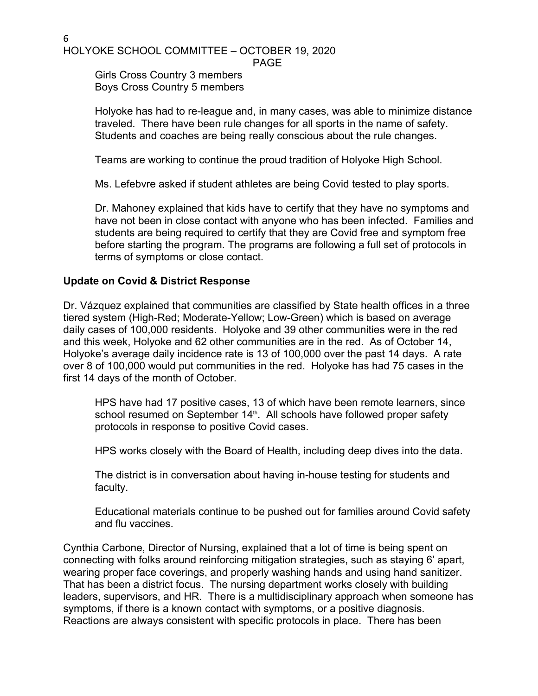$6\overline{a}$ HOLYOKE SCHOOL COMMITTEE – OCTOBER 19, 2020

PAGE

Girls Cross Country 3 members Boys Cross Country 5 members

Holyoke has had to re-league and, in many cases, was able to minimize distance traveled. There have been rule changes for all sports in the name of safety. Students and coaches are being really conscious about the rule changes.

Teams are working to continue the proud tradition of Holyoke High School.

Ms. Lefebvre asked if student athletes are being Covid tested to play sports.

Dr. Mahoney explained that kids have to certify that they have no symptoms and have not been in close contact with anyone who has been infected. Families and students are being required to certify that they are Covid free and symptom free before starting the program. The programs are following a full set of protocols in terms of symptoms or close contact.

### **Update on Covid & District Response**

Dr. Vázquez explained that communities are classified by State health offices in a three tiered system (High-Red; Moderate-Yellow; Low-Green) which is based on average daily cases of 100,000 residents. Holyoke and 39 other communities were in the red and this week, Holyoke and 62 other communities are in the red. As of October 14, Holyoke's average daily incidence rate is 13 of 100,000 over the past 14 days. A rate over 8 of 100,000 would put communities in the red. Holyoke has had 75 cases in the first 14 days of the month of October.

HPS have had 17 positive cases, 13 of which have been remote learners, since school resumed on September 14<sup>th</sup>. All schools have followed proper safety protocols in response to positive Covid cases.

HPS works closely with the Board of Health, including deep dives into the data.

The district is in conversation about having in-house testing for students and faculty.

Educational materials continue to be pushed out for families around Covid safety and flu vaccines.

Cynthia Carbone, Director of Nursing, explained that a lot of time is being spent on connecting with folks around reinforcing mitigation strategies, such as staying 6' apart, wearing proper face coverings, and properly washing hands and using hand sanitizer. That has been a district focus. The nursing department works closely with building leaders, supervisors, and HR. There is a multidisciplinary approach when someone has symptoms, if there is a known contact with symptoms, or a positive diagnosis. Reactions are always consistent with specific protocols in place. There has been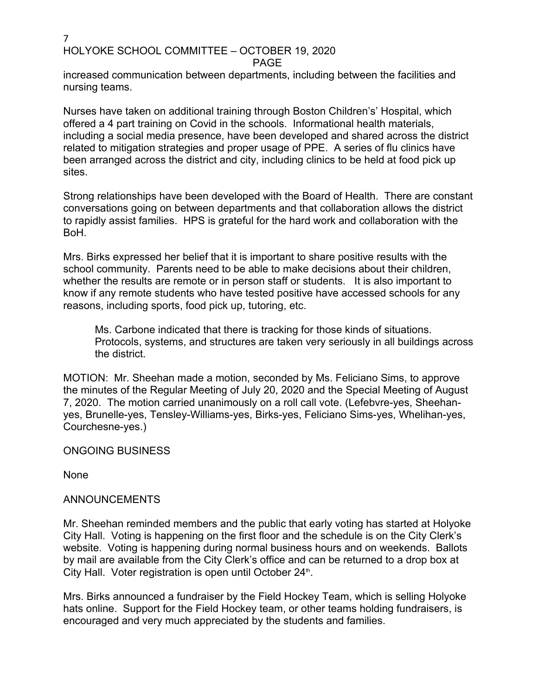PAGE

increased communication between departments, including between the facilities and nursing teams.

Nurses have taken on additional training through Boston Children's' Hospital, which offered a 4 part training on Covid in the schools. Informational health materials, including a social media presence, have been developed and shared across the district related to mitigation strategies and proper usage of PPE. A series of flu clinics have been arranged across the district and city, including clinics to be held at food pick up sites.

Strong relationships have been developed with the Board of Health. There are constant conversations going on between departments and that collaboration allows the district to rapidly assist families. HPS is grateful for the hard work and collaboration with the BoH.

Mrs. Birks expressed her belief that it is important to share positive results with the school community. Parents need to be able to make decisions about their children, whether the results are remote or in person staff or students. It is also important to know if any remote students who have tested positive have accessed schools for any reasons, including sports, food pick up, tutoring, etc.

Ms. Carbone indicated that there is tracking for those kinds of situations. Protocols, systems, and structures are taken very seriously in all buildings across the district.

MOTION: Mr. Sheehan made a motion, seconded by Ms. Feliciano Sims, to approve the minutes of the Regular Meeting of July 20, 2020 and the Special Meeting of August 7, 2020. The motion carried unanimously on a roll call vote. (Lefebvre-yes, Sheehanyes, Brunelle-yes, Tensley-Williams-yes, Birks-yes, Feliciano Sims-yes, Whelihan-yes, Courchesne-yes.)

ONGOING BUSINESS

None

# ANNOUNCEMENTS

Mr. Sheehan reminded members and the public that early voting has started at Holyoke City Hall. Voting is happening on the first floor and the schedule is on the City Clerk's website. Voting is happening during normal business hours and on weekends. Ballots by mail are available from the City Clerk's office and can be returned to a drop box at City Hall. Voter registration is open until October 24<sup>th</sup>.

. Mrs. Birks announced a fundraiser by the Field Hockey Team, which is selling Holyoke hats online. Support for the Field Hockey team, or other teams holding fundraisers, is encouraged and very much appreciated by the students and families.